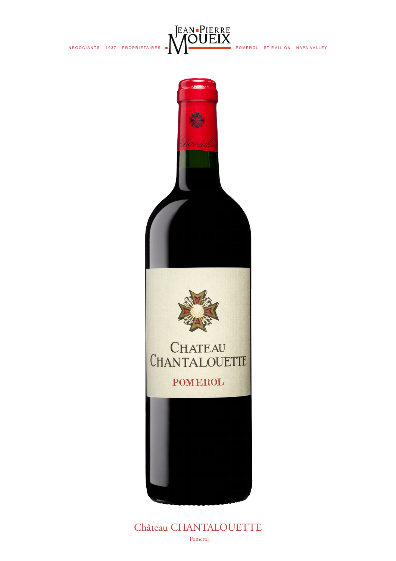- NEGOCIANTS - 1937 - PROPRIETAIRES



POMEROL - ST EMILION - NAPA VALLEY -



## Château CHANTALOUETTE